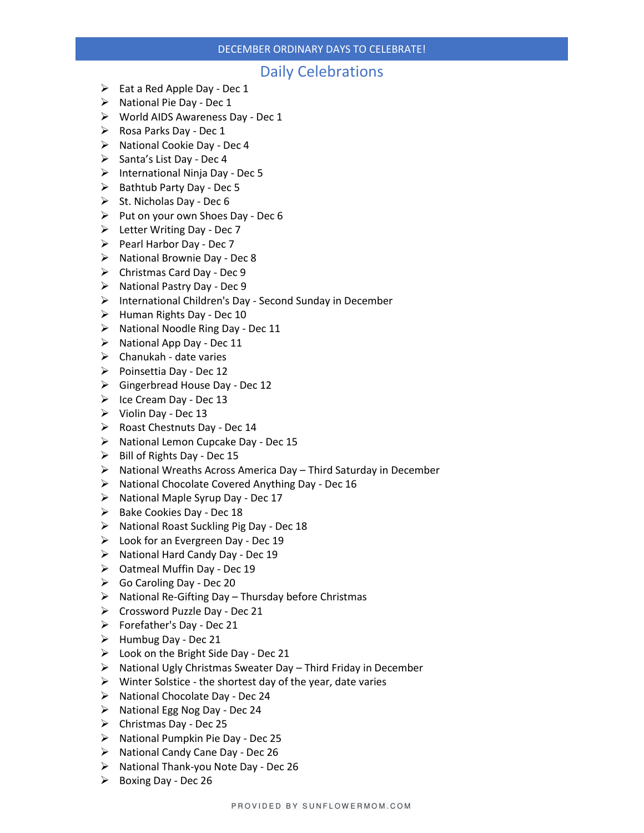#### DECEMBER ORDINARY DAYS TO CELEBRATE!

### Daily Celebrations

- $\triangleright$  Eat a Red Apple Day Dec 1
- ➢ National Pie Day Dec 1
- ➢ World AIDS Awareness Day Dec 1
- $\triangleright$  Rosa Parks Day Dec 1
- ➢ National Cookie Day Dec 4
- ➢ Santa's List Day Dec 4
- ➢ International Ninja Day Dec 5
- ➢ Bathtub Party Day Dec 5
- $\triangleright$  St. Nicholas Day Dec 6
- ➢ Put on your own Shoes Day Dec 6
- ➢ Letter Writing Day Dec 7
- $\triangleright$  Pearl Harbor Day Dec 7
- $\triangleright$  National Brownie Day Dec 8
- ➢ Christmas Card Day Dec 9
- ➢ National Pastry Day Dec 9
- ➢ International Children's Day Second Sunday in December
- ➢ Human Rights Day Dec 10
- ➢ National Noodle Ring Day Dec 11
- ➢ National App Day Dec 11
- $\triangleright$  Chanukah date varies
- ➢ Poinsettia Day Dec 12
- ➢ Gingerbread House Day Dec 12
- $\triangleright$  Ice Cream Day Dec 13
- ➢ Violin Day Dec 13
- ➢ Roast Chestnuts Day Dec 14
- ➢ National Lemon Cupcake Day Dec 15
- $\triangleright$  Bill of Rights Day Dec 15
- $\triangleright$  National Wreaths Across America Day Third Saturday in December
- ➢ National Chocolate Covered Anything Day Dec 16
- ➢ National Maple Syrup Day Dec 17
- ➢ Bake Cookies Day Dec 18
- ➢ National Roast Suckling Pig Day Dec 18
- ➢ Look for an Evergreen Day Dec 19
- ➢ National Hard Candy Day Dec 19
- ➢ Oatmeal Muffin Day Dec 19
- ➢ Go Caroling Day Dec 20
- ➢ National Re-Gifting Day Thursday before Christmas
- ➢ Crossword Puzzle Day Dec 21
- $\triangleright$  Forefather's Day Dec 21
- $\triangleright$  Humbug Day Dec 21
- ➢ Look on the Bright Side Day Dec 21
- ➢ National Ugly Christmas Sweater Day Third Friday in December
- $\triangleright$  Winter Solstice the shortest day of the year, date varies
- ➢ National Chocolate Day Dec 24
- ➢ National Egg Nog Day Dec 24
- ➢ Christmas Day Dec 25
- ➢ National Pumpkin Pie Day Dec 25
- ➢ National Candy Cane Day Dec 26
- ➢ National Thank-you Note Day Dec 26
- ➢ Boxing Day Dec 26